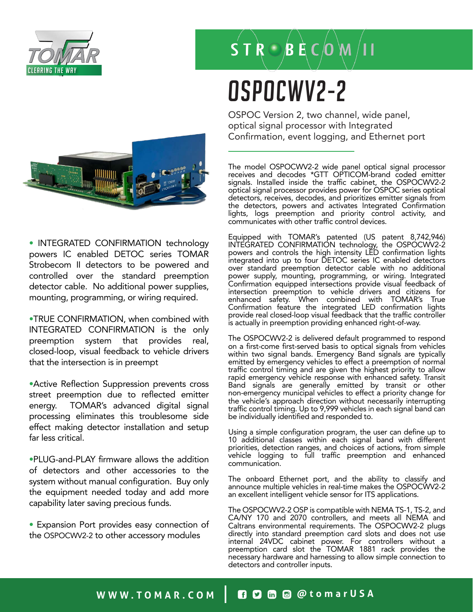

### $\overrightarrow{S}$  T  $\overrightarrow{R}$   $\odot$   $\overrightarrow{B}$   $\overrightarrow{E}$   $\overrightarrow{C}$   $\overrightarrow{O}$   $\overrightarrow{M}$   $\overrightarrow{I}$  I

# OSPOCWV2-2

OSPOC Version 2, two channel, wide panel, optical signal processor with Integrated Confirmation, event logging, and Ethernet port

The model OSPOCWV2-2 wide panel optical signal processor receives and decodes \*GTT OPTICOM-brand coded emitter signals. Installed inside the traffic cabinet, the OSPOCWV2-2 optical signal processor provides power for OSPOC series optical detectors, receives, decodes, and prioritizes emitter signals from the detectors, powers and activates Integrated Confirmation lights, logs preemption and priority control activity, and communicates with other traffic control devices.

Equipped with TOMAR's patented (US patent 8,742,946) INTEGRATED CONFIRMATION technology, the OSPOCWV2-2 powers and controls the high intensity LED confirmation lights integrated into up to four DETOC series IC enabled detectors over standard preemption detector cable with no additional power supply, mounting, programming, or wiring. Integrated Confirmation equipped intersections provide visual feedback of intersection preemption to vehicle drivers and citizens for enhanced safety. When combined with TOMAR's True Confirmation feature the integrated LED confirmation lights provide real closed-loop visual feedback that the traffic controller is actually in preemption providing enhanced right-of-way.

The OSPOCWV2-2 is delivered default programmed to respond on a first-come first-served basis to optical signals from vehicles within two signal bands. Emergency Band signals are typically emitted by emergency vehicles to effect a preemption of normal traffic control timing and are given the highest priority to allow rapid emergency vehicle response with enhanced safety. Transit Band signals are generally emitted by transit or other non-emergency municipal vehicles to effect a priority change for the vehicle's approach direction without necessarily interrupting traffic control timing. Up to 9,999 vehicles in each signal band can be individually identified and responded to.

Using a simple configuration program, the user can define up to 10 additional classes within each signal band with different priorities, detection ranges, and choices of actions, from simple vehicle logging to full traffic preemption and enhanced communication.

The onboard Ethernet port, and the ability to classify and announce multiple vehicles in real-time makes the OSPOCWV2-2 an excellent intelligent vehicle sensor for ITS applications.

The OSPOCWV2-2 OSP is compatible with NEMA TS-1, TS-2, and CA/NY 170 and 2070 controllers, and meets all NEMA and Caltrans environmental requirements. The OSPOCWV2-2 plugs directly into standard preemption card slots and does not use internal 24VDC cabinet power. For controllers without a preemption card slot the TOMAR 1881 rack provides the necessary hardware and harnessing to allow simple connection to detectors and controller inputs.



• INTEGRATED CONFIRMATION technology powers IC enabled DETOC series TOMAR Strobecom II detectors to be powered and controlled over the standard preemption detector cable. No additional power supplies, mounting, programming, or wiring required.

•TRUE CONFIRMATION, when combined with INTEGRATED CONFIRMATION is the only preemption system that provides real, closed-loop, visual feedback to vehicle drivers that the intersection is in preempt

•Active Reflection Suppression prevents cross street preemption due to reflected emitter energy. TOMAR's advanced digital signal processing eliminates this troublesome side effect making detector installation and setup far less critical.

•PLUG-and-PLAY firmware allows the addition of detectors and other accessories to the system without manual configuration. Buy only the equipment needed today and add more capability later saving precious funds.

• Expansion Port provides easy connection of the OSPOCWV2-2 to other accessory modules